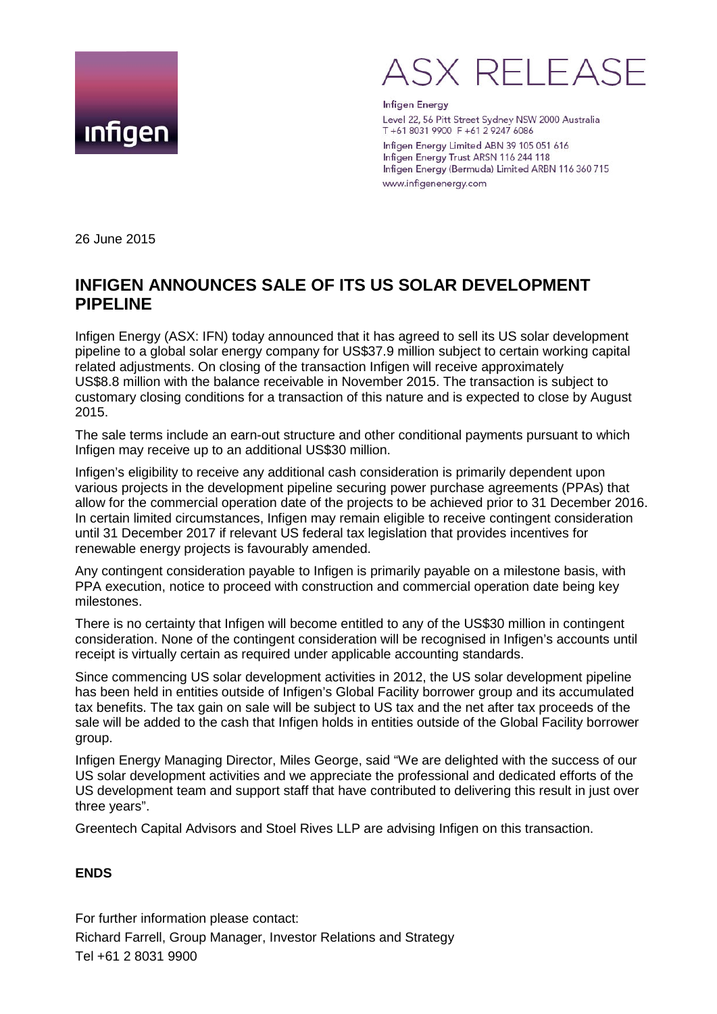



**Infigen Energy** Level 22, 56 Pitt Street Sydney NSW 2000 Australia T+6180319900 F+61292476086

Infigen Energy Limited ABN 39 105 051 616 Infigen Energy Trust ARSN 116 244 118 Infigen Energy (Bermuda) Limited ARBN 116 360 715 www.infigenenergy.com

26 June 2015

## **INFIGEN ANNOUNCES SALE OF ITS US SOLAR DEVELOPMENT PIPELINE**

Infigen Energy (ASX: IFN) today announced that it has agreed to sell its US solar development pipeline to a global solar energy company for US\$37.9 million subject to certain working capital related adjustments. On closing of the transaction Infigen will receive approximately US\$8.8 million with the balance receivable in November 2015. The transaction is subject to customary closing conditions for a transaction of this nature and is expected to close by August 2015.

The sale terms include an earn-out structure and other conditional payments pursuant to which Infigen may receive up to an additional US\$30 million.

Infigen's eligibility to receive any additional cash consideration is primarily dependent upon various projects in the development pipeline securing power purchase agreements (PPAs) that allow for the commercial operation date of the projects to be achieved prior to 31 December 2016. In certain limited circumstances, Infigen may remain eligible to receive contingent consideration until 31 December 2017 if relevant US federal tax legislation that provides incentives for renewable energy projects is favourably amended.

Any contingent consideration payable to Infigen is primarily payable on a milestone basis, with PPA execution, notice to proceed with construction and commercial operation date being key milestones.

There is no certainty that Infigen will become entitled to any of the US\$30 million in contingent consideration. None of the contingent consideration will be recognised in Infigen's accounts until receipt is virtually certain as required under applicable accounting standards.

Since commencing US solar development activities in 2012, the US solar development pipeline has been held in entities outside of Infigen's Global Facility borrower group and its accumulated tax benefits. The tax gain on sale will be subject to US tax and the net after tax proceeds of the sale will be added to the cash that Infigen holds in entities outside of the Global Facility borrower group.

Infigen Energy Managing Director, Miles George, said "We are delighted with the success of our US solar development activities and we appreciate the professional and dedicated efforts of the US development team and support staff that have contributed to delivering this result in just over three years".

Greentech Capital Advisors and Stoel Rives LLP are advising Infigen on this transaction.

## **ENDS**

For further information please contact: Richard Farrell, Group Manager, Investor Relations and Strategy Tel +61 2 8031 9900